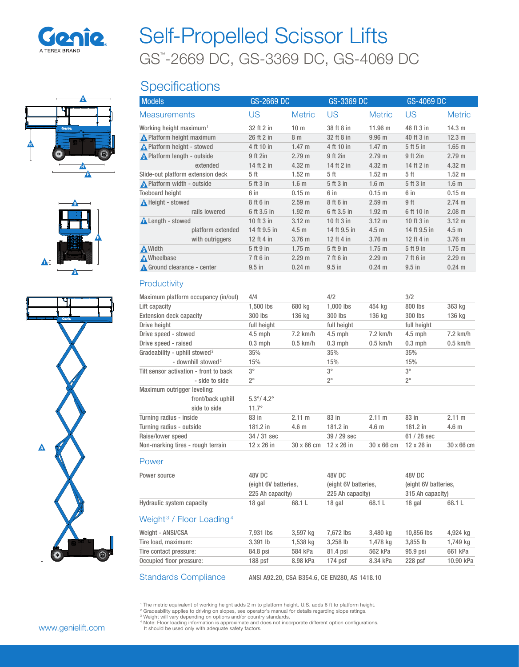

# GS™ -2669 DC, GS-3369 DC, GS-4069 DC Self-Propelled Scissor Lifts

## **Specifications**

| <b>Models</b>                                       | GS-2669 DC      |                   | GS-3369 DC     |                   | GS-4069 DC      |                   |
|-----------------------------------------------------|-----------------|-------------------|----------------|-------------------|-----------------|-------------------|
| <b>Measurements</b>                                 | US              | <b>Metric</b>     | US             | <b>Metric</b>     | US              | <b>Metric</b>     |
| Working height maximum <sup>1</sup>                 | 32 ft 2 in      | 10 <sub>m</sub>   | 38 ft 8 in     | 11.96 m           | 46 ft 3 in      | 14.3 m            |
| N Platform height maximum                           | 26 ft 2 in      | 8 m               | 32 ft 8 in     | 9.96 <sub>m</sub> | 40 ft 3 in      | 12.3 m            |
| No. Platform height - stowed                        | 4 ft 10 in      | $1.47 \text{ m}$  | 4 ft 10 in     | $1.47 \text{ m}$  | 5 ft 5 in       | $1.65$ m          |
| <b>A</b> Platform length - outside                  | 9 ft 2in        | 2.79 m            | 9 ft 2in       | 2.79 m            | 9 ft 2in        | 2.79 m            |
| extended                                            | 14 ft 2 in      | $4.32 \text{ m}$  | 14 ft 2 in     | $4.32 \text{ m}$  | 14 ft 2 in      | $4.32 \text{ m}$  |
| Slide-out platform extension deck                   | 5 <sub>ft</sub> | 1.52 <sub>m</sub> | 5ft            | $1.52 \text{ m}$  | 5 <sub>ft</sub> | 1.52 <sub>m</sub> |
| Nelatform width - outside                           | 5 ft 3 in       | 1.6 <sub>m</sub>  | 5 ft 3 in      | 1.6 <sub>m</sub>  | 5 ft 3 in       | 1.6 <sub>m</sub>  |
| <b>Toeboard height</b>                              | 6 in            | $0.15 \; m$       | 6 in           | 0.15 m            | 6 in            | $0.15 \; m$       |
| A Height - stowed                                   | 8 ft 6 in       | 2.59 <sub>m</sub> | 8 ft 6 in      | 2.59 m            | 9 ft            | 2.74 m            |
| rails lowered                                       | 6 ft 3.5 in     | $1.92 \text{ m}$  | 6 ft 3.5 in    | 1.92 <sub>m</sub> | 6 ft 10 in      | 2.08 m            |
| <b>A</b> Length - stowed                            | 10 ft 3 in      | $3.12 \text{ m}$  | $10$ ft $3$ in | $3.12 \text{ m}$  | 10 ft 3 in      | $3.12 \text{ m}$  |
| platform extended                                   | 14 ft 9.5 in    | 4.5 <sub>m</sub>  | 14 ft 9.5 in   | 4.5 <sub>m</sub>  | 14 ft 9.5 in    | 4.5 <sub>m</sub>  |
| with outriggers                                     | 12 ft 4 in      | 3.76 <sub>m</sub> | 12 ft 4 in     | 3.76 <sub>m</sub> | 12 ft 4 in      | 3.76 <sub>m</sub> |
| <b>A</b> Width                                      | 5 ft 9 in       | $1.75 \text{ m}$  | 5 ft 9 in      | 1.75 m            | 5 ft 9 in       | $1.75$ m          |
| M Wheelbase                                         | 7 ft 6 in       | 2.29 m            | 7 ft 6 in      | 2.29 m            | 7 ft 6 in       | 2.29 m            |
| Ground clearance - center                           | $9.5$ in        | $0.24 \text{ m}$  | $9.5$ in       | $0.24$ m          | $9.5$ in        | $0.24 \text{ m}$  |
| Productivity<br>Maximum platform occupancy (in/out) | 4/4             |                   | 4/2            |                   | 3/2             |                   |

| Weight <sup>3</sup> / Floor Loading <sup>4</sup> |                            |                  |                        |                  |                      |                  |
|--------------------------------------------------|----------------------------|------------------|------------------------|------------------|----------------------|------------------|
| Hydraulic system capacity                        | 18 gal                     | 68.1 L           | 18 gal                 | 68.1 L           | 18 gal               | 68.1 L           |
|                                                  | 225 Ah capacity)           |                  | 225 Ah capacity)       |                  | 315 Ah capacity)     |                  |
|                                                  | (eight 6V batteries,       |                  | (eight 6V batteries,   |                  | (eight 6V batteries, |                  |
| Power source                                     | 48V DC                     |                  | 48V DC                 |                  | 48V DC               |                  |
| Power                                            |                            |                  |                        |                  |                      |                  |
| Non-marking tires - rough terrain                | $12 \times 26$ in          | 30 x 66 cm       | 12 x 26 in             | 30 x 66 cm       | 12 x 26 in           | 30 x 66 cm       |
| Raise/lower speed                                | 34 / 31 sec                |                  | 39 / 29 sec            |                  | $61/28$ sec          |                  |
| Turning radius - outside                         | $181.2$ in                 | 4.6 <sub>m</sub> | $181.2$ in             | 4.6 <sub>m</sub> | $181.2$ in           | 4.6 <sub>m</sub> |
| Turning radius - inside                          | 83 in                      | 2.11 m           | 83 in                  | 2.11 m           | 83 in                | 2.11 m           |
| side to side                                     | $11.7^\circ$               |                  |                        |                  |                      |                  |
| front/back uphill                                | $5.3^{\circ}/ 4.2^{\circ}$ |                  |                        |                  |                      |                  |
| Maximum outrigger leveling:                      |                            |                  |                        |                  |                      |                  |
| - side to side                                   | $2^{\circ}$                |                  | $2^{\circ}$            |                  | $2^{\circ}$          |                  |
| Tilt sensor activation - front to back           | $3^{\circ}$                |                  | $3^{\circ}$            |                  | $3^{\circ}$          |                  |
| - downhill stowed <sup>2</sup>                   | 15%                        |                  | 15%                    |                  | 15%                  |                  |
| Gradeability - uphill stowed <sup>2</sup>        | 35%                        |                  | 35%                    |                  | 35%                  |                  |
| Drive speed - raised                             | $0.3$ mph                  | $0.5$ km/h       | $0.3$ mph              | $0.5$ km/h       | $0.3$ mph            | $0.5$ km/h       |
| Drive speed - stowed                             | $4.5$ mph                  | $7.2$ km/h       | $4.5$ mph              | $7.2$ km/h       | $4.5$ mph            | $7.2$ km/h       |
| <b>Extension deck capacity</b><br>Drive height   | full height                | 136 kg           | full height            | 136 kg           | full height          | 136 kg           |
| Lift capacity                                    | $1.500$ lbs<br>300 lbs     | 680 kg           | $1.000$ lbs<br>300 lbs | 454 kg           | 800 lbs<br>300 lbs   | 363 kg           |
|                                                  |                            |                  |                        |                  |                      |                  |

|                          | ---------- |          |          | ---------- |           | $-1$      |
|--------------------------|------------|----------|----------|------------|-----------|-----------|
| Tire load, maximum:      | $3.391$ lb | 1.538 ka | 3.258 lb | 1.478 ka   | 3.855 lb  | 1,749 kg  |
| Tire contact pressure:   | 84.8 psi   | 584 kPa  | 81.4 psi | 562 kPa    | 95.9 psi  | 661 kPa   |
| Occupied floor pressure: | $188$ psf  | 8.98 kPa | 174 psf  | 8.34 kPa   | $228$ psf | 10.90 kPa |
|                          |            |          |          |            |           |           |

Standards Compliance ANSI A92.20, CSA B354.6, CE EN280, AS 1418.10

<sup>1</sup> The metric equivalent of working height adds 2 m to platform height. U.S. adds 6 ft to platform height.

<sup>2</sup> Gradeability applies to driving on slopes, see operator's manual for details regarding slope ratings.

<sup>s</sup> Weight will vary depending on options and/or country standards.<br><sup>4</sup> Note: Floor loading information is approximate and does not incorporate different option configurations.<br>- It should be used only with adequate safety